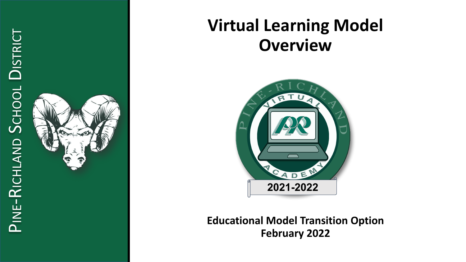

### **Virtual Learning Model Overview**



**Educational Model Transition Option February 2022**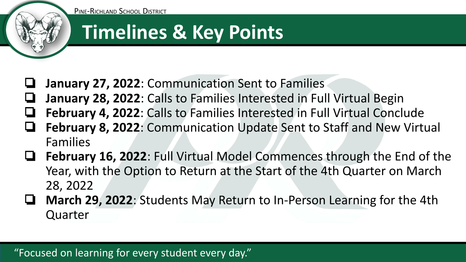

### **Timelines & Key Points**

- ❏ **January 27, 2022**: Communication Sent to Families
- ❏ **January 28, 2022**: Calls to Families Interested in Full Virtual Begin
- ❏ **February 4, 2022**: Calls to Families Interested in Full Virtual Conclude
- ❏ **February 8, 2022**: Communication Update Sent to Staff and New Virtual Families
- ❏ **February 16, 2022**: Full Virtual Model Commences through the End of the Year, with the Option to Return at the Start of the 4th Quarter on March 28, 2022
- ❏ **March 29, 2022**: Students May Return to In-Person Learning for the 4th Quarter

#### "Focused on learning for every student every day."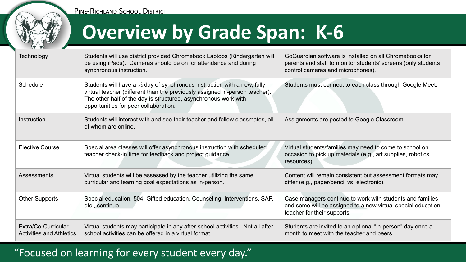

PINE-RICHLAND SCHOOL DISTRICT

# **Overview by Grade Span: K-6**

| <b>Technology</b>                                      | Students will use district provided Chromebook Laptops (Kindergarten will<br>be using iPads). Cameras should be on for attendance and during<br>synchronous instruction.                                                                                                       | GoGuardian software is installed on all Chromebooks for<br>parents and staff to monitor students' screens (only students<br>control cameras and microphones). |
|--------------------------------------------------------|--------------------------------------------------------------------------------------------------------------------------------------------------------------------------------------------------------------------------------------------------------------------------------|---------------------------------------------------------------------------------------------------------------------------------------------------------------|
| Schedule                                               | Students will have a $\frac{1}{2}$ day of synchronous instruction with a new, fully<br>virtual teacher (different than the previously assigned in-person teacher).<br>The other half of the day is structured, asynchronous work with<br>opportunities for peer collaboration. | Students must connect to each class through Google Meet.                                                                                                      |
| Instruction                                            | Students will interact with and see their teacher and fellow classmates, all<br>of whom are online.                                                                                                                                                                            | Assignments are posted to Google Classroom.                                                                                                                   |
| <b>Elective Course</b>                                 | Special area classes will offer asynchronous instruction with scheduled<br>teacher check-in time for feedback and project guidance.                                                                                                                                            | Virtual students/families may need to come to school on<br>occasion to pick up materials (e.g., art supplies, robotics<br>resources).                         |
| Assessments                                            | Virtual students will be assessed by the teacher utilizing the same<br>curricular and learning goal expectations as in-person.                                                                                                                                                 | Content will remain consistent but assessment formats may<br>differ (e.g., paper/pencil vs. electronic).                                                      |
| <b>Other Supports</b>                                  | Special education, 504, Gifted education, Counseling, Interventions, SAP,<br>etc., continue.                                                                                                                                                                                   | Case managers continue to work with students and families<br>and some will be assigned to a new virtual special education<br>teacher for their supports.      |
| Extra/Co-Curricular<br><b>Activities and Athletics</b> | Virtual students may participate in any after-school activities. Not all after<br>school activities can be offered in a virtual format                                                                                                                                         | Students are invited to an optional "in-person" day once a<br>month to meet with the teacher and peers.                                                       |

#### "Focused on learning for every student every day."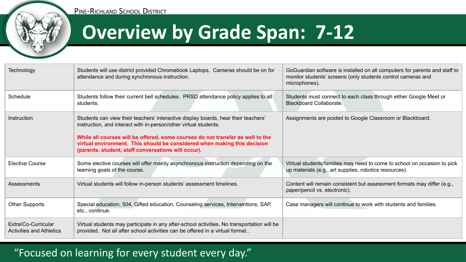



# **Overview by Grade Span: 7-12**

| Technology                                             | Students will use district provided Chromebook Laptops. Cameras should be on for<br>attendance and during synchronous instruction.                                                                                                                                                                                                                                          | GoGuardian software is installed on all computers for parents and staff to<br>monitor students' screens (only students control cameras and<br>microphones). |
|--------------------------------------------------------|-----------------------------------------------------------------------------------------------------------------------------------------------------------------------------------------------------------------------------------------------------------------------------------------------------------------------------------------------------------------------------|-------------------------------------------------------------------------------------------------------------------------------------------------------------|
| Schedule                                               | Students follow their current bell schedules. PRSD attendance policy applies to all<br>students.                                                                                                                                                                                                                                                                            | Students must connect to each class through either Google Meet or<br><b>Blackboard Collaborate.</b>                                                         |
| Instruction                                            | Students can view their teachers' interactive display boards, hear their teachers'<br>instruction, and interact with in-person/other virtual students.<br>While all courses will be offered, some courses do not transfer as well to the<br>virtual environment. This should be considered when making this decision<br>(parents, student, staff conversations will occur). | Assignments are posted to Google Classroom or Blackboard.                                                                                                   |
| <b>Elective Course</b>                                 | Some elective courses will offer mainly asynchronous instruction depending on the<br>learning goals of the course.                                                                                                                                                                                                                                                          | Virtual students/families may need to come to school on occasion to pick<br>up materials (e.g., art supplies, robotics resources).                          |
| Assessments                                            | Virtual students will follow in-person students' assessment timelines.                                                                                                                                                                                                                                                                                                      | Content will remain consistent but assessment formats may differ (e.g.,<br>paper/pencil vs. electronic).                                                    |
| <b>Other Supports</b>                                  | Special education, 504, Gifted education, Counseling services, Interventions, SAP,<br>etc., continue.                                                                                                                                                                                                                                                                       | Case managers will continue to work with students and families.                                                                                             |
| Extra/Co-Curricular<br><b>Activities and Athletics</b> | Virtual students may participate in any after-school activities. No transportation will be<br>provided. Not all after school activities can be offered in a virtual format                                                                                                                                                                                                  |                                                                                                                                                             |

#### "Focused on learning for every student every day."